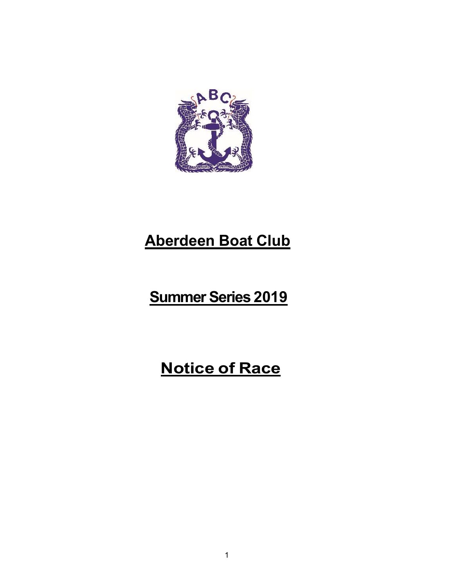

# Aberdeen Boat Club

# Summer Series 2019

# Notice of Race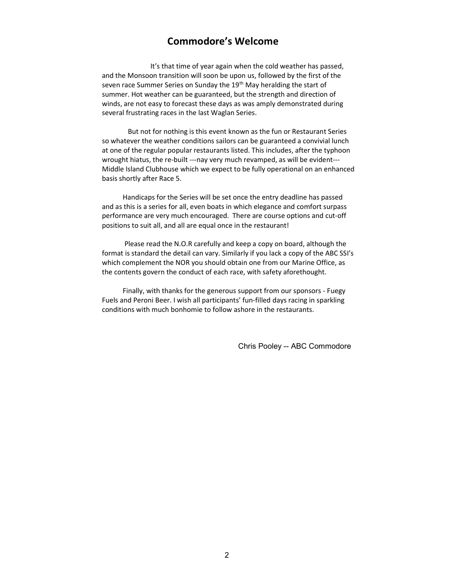# Commodore's Welcome

 It's that time of year again when the cold weather has passed, and the Monsoon transition will soon be upon us, followed by the first of the seven race Summer Series on Sunday the 19<sup>th</sup> May heralding the start of summer. Hot weather can be guaranteed, but the strength and direction of winds, are not easy to forecast these days as was amply demonstrated during several frustrating races in the last Waglan Series.

 But not for nothing is this event known as the fun or Restaurant Series so whatever the weather conditions sailors can be guaranteed a convivial lunch at one of the regular popular restaurants listed. This includes, after the typhoon wrought hiatus, the re-built ---nay very much revamped, as will be evident--- Middle Island Clubhouse which we expect to be fully operational on an enhanced basis shortly after Race 5.

 Handicaps for the Series will be set once the entry deadline has passed and as this is a series for all, even boats in which elegance and comfort surpass performance are very much encouraged. There are course options and cut-off positions to suit all, and all are equal once in the restaurant!

 Please read the N.O.R carefully and keep a copy on board, although the format is standard the detail can vary. Similarly if you lack a copy of the ABC SSI's which complement the NOR you should obtain one from our Marine Office, as the contents govern the conduct of each race, with safety aforethought.

 Finally, with thanks for the generous support from our sponsors - Fuegy Fuels and Peroni Beer. I wish all participants' fun-filled days racing in sparkling conditions with much bonhomie to follow ashore in the restaurants.

Chris Pooley -- ABC Commodore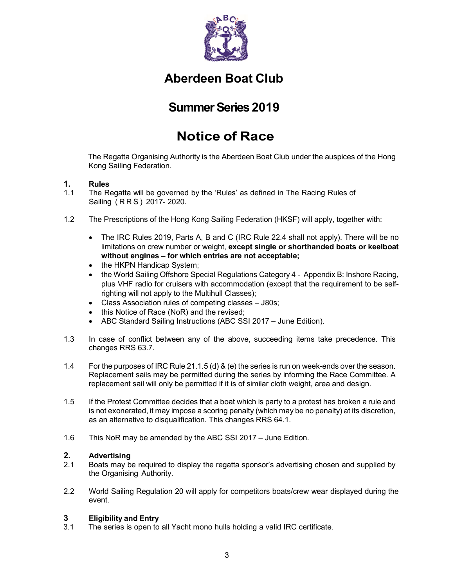

# Aberdeen Boat Club

# Summer Series 2019

# Notice of Race

The Regatta Organising Authority is the Aberdeen Boat Club under the auspices of the Hong Kong Sailing Federation.

# 1. Rules

- 1.1 The Regatta will be governed by the 'Rules' as defined in The Racing Rules of Sailing ( R R S ) 2017- 2020.
- 1.2 The Prescriptions of the Hong Kong Sailing Federation (HKSF) will apply, together with:
	- The IRC Rules 2019, Parts A, B and C (IRC Rule 22.4 shall not apply). There will be no limitations on crew number or weight, except single or shorthanded boats or keelboat without engines – for which entries are not acceptable;
	- the HKPN Handicap System;
	- the World Sailing Offshore Special Regulations Category 4 Appendix B: Inshore Racing, plus VHF radio for cruisers with accommodation (except that the requirement to be selfrighting will not apply to the Multihull Classes);
	- Class Association rules of competing classes J80s;
	- this Notice of Race (NoR) and the revised;
	- ABC Standard Sailing Instructions (ABC SSI 2017 June Edition).
- 1.3 In case of conflict between any of the above, succeeding items take precedence. This changes RRS 63.7.
- 1.4 For the purposes of IRC Rule 21.1.5 (d) & (e) the series is run on week-ends over the season. Replacement sails may be permitted during the series by informing the Race Committee. A replacement sail will only be permitted if it is of similar cloth weight, area and design.
- 1.5 If the Protest Committee decides that a boat which is party to a protest has broken a rule and is not exonerated, it may impose a scoring penalty (which may be no penalty) at its discretion, as an alternative to disqualification. This changes RRS 64.1.
- 1.6 This NoR may be amended by the ABC SSI 2017 June Edition.

# 2. Advertising

- 2.1 Boats may be required to display the regatta sponsor's advertising chosen and supplied by the Organising Authority.
- 2.2 World Sailing Regulation 20 will apply for competitors boats/crew wear displayed during the event.

# 3 Eligibility and Entry

3.1 The series is open to all Yacht mono hulls holding a valid IRC certificate.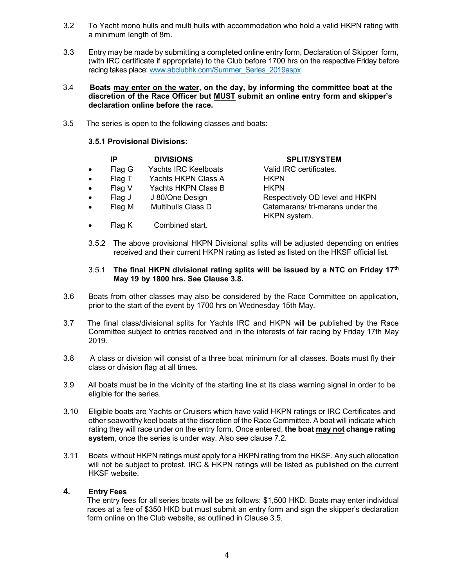- 3.2 To Yacht mono hulls and multi hulls with accommodation who hold a valid HKPN rating with a minimum length of 8m.
- 3.3 Entry may be made by submitting a completed online entry form, Declaration of Skipper form, (with IRC certificate if appropriate) to the Club before 1700 hrs on the respective Friday before racing takes place: www.abclubhk.com/Summer\_Series\_2019aspx
- 3.4 Boats may enter on the water, on the day, by informing the committee boat at the discretion of the Race Officer but MUST submit an online entry form and skipper's declaration online before the race.
- 3.5 The series is open to the following classes and boats:

# 3.5.1 Provisional Divisions:

|           | IP     | <b>DIVISIONS</b>            | <b>SPLIT/SYSTEM</b>                             |
|-----------|--------|-----------------------------|-------------------------------------------------|
| $\bullet$ | Flag G | <b>Yachts IRC Keelboats</b> | Valid IRC certificates.                         |
| $\bullet$ | Flag T | Yachts HKPN Class A         | <b>HKPN</b>                                     |
| $\bullet$ | Flag V | Yachts HKPN Class B         | <b>HKPN</b>                                     |
| $\bullet$ | Flag J | J 80/One Design             | Respectively OD level and HKPN                  |
| $\bullet$ | Flag M | <b>Multihulls Class D</b>   | Catamarans/tri-marans under the<br>HKPN system. |
| $\bullet$ | Flag K | Combined start.             |                                                 |

3.5.2 The above provisional HKPN Divisional splits will be adjusted depending on entries received and their current HKPN rating as listed as listed on the HKSF official list.

#### 3.5.1 The final HKPN divisional rating splits will be issued by a NTC on Friday 17th May 19 by 1800 hrs. See Clause 3.8.

- 3.6 Boats from other classes may also be considered by the Race Committee on application, prior to the start of the event by 1700 hrs on Wednesday 15th May.
- 3.7 The final class/divisional splits for Yachts IRC and HKPN will be published by the Race Committee subject to entries received and in the interests of fair racing by Friday 17th May 2019.
- 3.8 A class or division will consist of a three boat minimum for all classes. Boats must fly their class or division flag at all times.
- 3.9 All boats must be in the vicinity of the starting line at its class warning signal in order to be eligible for the series.
- 3.10 Eligible boats are Yachts or Cruisers which have valid HKPN ratings or IRC Certificates and other seaworthy keel boats at the discretion of the Race Committee. A boat will indicate which rating they will race under on the entry form. Once entered, the boat may not change rating system, once the series is under way. Also see clause 7.2.
- 3.11 Boats without HKPN ratings must apply for a HKPN rating from the HKSF. Any such allocation will not be subject to protest. IRC & HKPN ratings will be listed as published on the current HKSF website.

# 4. Entry Fees

The entry fees for all series boats will be as follows: \$1,500 HKD. Boats may enter individual races at a fee of \$350 HKD but must submit an entry form and sign the skipper's declaration form online on the Club website, as outlined in Clause 3.5.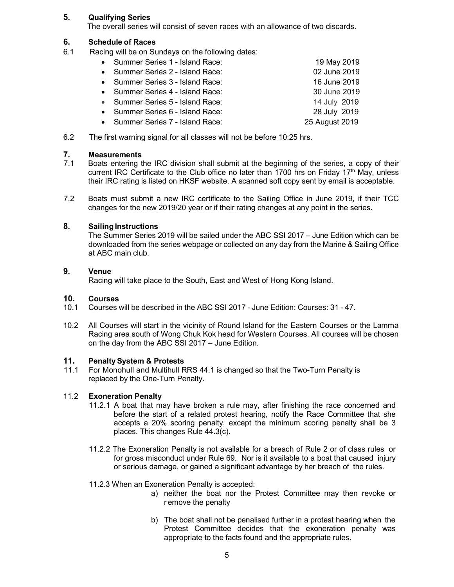# 5. Qualifying Series

The overall series will consist of seven races with an allowance of two discards.

# 6. Schedule of Races

6.1 Racing will be on Sundays on the following dates:

| • Summer Series 1 - Island Race: | 19 May 2019    |
|----------------------------------|----------------|
| • Summer Series 2 - Island Race: | 02 June 2019   |
| • Summer Series 3 - Island Race: | 16 June 2019   |
| • Summer Series 4 - Island Race: | 30 June 2019   |
| • Summer Series 5 - Island Race: | 14 July 2019   |
| • Summer Series 6 - Island Race: | 28 July 2019   |
| • Summer Series 7 - Island Race: | 25 August 2019 |

6.2 The first warning signal for all classes will not be before 10:25 hrs.

#### 7. Measurements

- 7.1 Boats entering the IRC division shall submit at the beginning of the series, a copy of their current IRC Certificate to the Club office no later than 1700 hrs on Friday 17<sup>th</sup> May, unless their IRC rating is listed on HKSF website. A scanned soft copy sent by email is acceptable.
- 7.2 Boats must submit a new IRC certificate to the Sailing Office in June 2019, if their TCC changes for the new 2019/20 year or if their rating changes at any point in the series.

# 8. Sailing Instructions

The Summer Series 2019 will be sailed under the ABC SSI 2017 – June Edition which can be downloaded from the series webpage or collected on any day from the Marine & Sailing Office at ABC main club.

#### 9. Venue

Racing will take place to the South, East and West of Hong Kong Island.

#### 10. Courses

- 10.1 Courses will be described in the ABC SSI 2017 June Edition: Courses: 31 47.
- 10.2 All Courses will start in the vicinity of Round Island for the Eastern Courses or the Lamma Racing area south of Wong Chuk Kok head for Western Courses. All courses will be chosen on the day from the ABC SSI 2017 – June Edition.

# 11. Penalty System & Protests

11.1 For Monohull and Multihull RRS 44.1 is changed so that the Two-Turn Penalty is replaced by the One-Turn Penalty.

#### 11.2 Exoneration Penalty

- 11.2.1 A boat that may have broken a rule may, after finishing the race concerned and before the start of a related protest hearing, notify the Race Committee that she accepts a 20% scoring penalty, except the minimum scoring penalty shall be 3 places. This changes Rule 44.3(c).
- 11.2.2 The Exoneration Penalty is not available for a breach of Rule 2 or of class rules or for gross misconduct under Rule 69. Nor is it available to a boat that caused injury or serious damage, or gained a significant advantage by her breach of the rules.

#### 11.2.3 When an Exoneration Penalty is accepted:

- a) neither the boat nor the Protest Committee may then revoke or r emove the penalty
- b) The boat shall not be penalised further in a protest hearing when the Protest Committee decides that the exoneration penalty was appropriate to the facts found and the appropriate rules.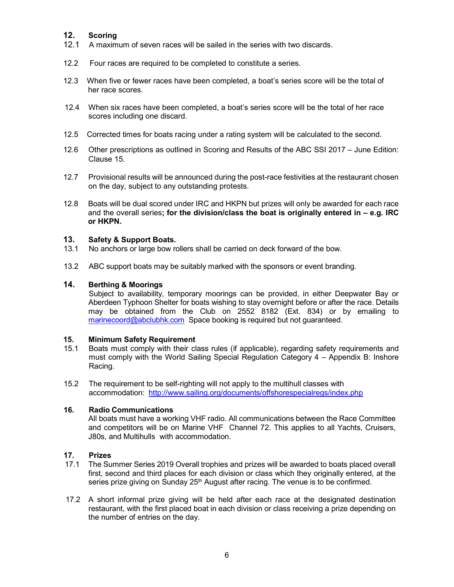# 12. Scoring

- 12.1 A maximum of seven races will be sailed in the series with two discards.
- 12.2 Four races are required to be completed to constitute a series.
- 12.3 When five or fewer races have been completed, a boat's series score will be the total of her race scores.
- 12.4 When six races have been completed, a boat's series score will be the total of her race scores including one discard.
- 12.5 Corrected times for boats racing under a rating system will be calculated to the second.
- 12.6 Other prescriptions as outlined in Scoring and Results of the ABC SSI 2017 June Edition: Clause 15.
- 12.7 Provisional results will be announced during the post-race festivities at the restaurant chosen on the day, subject to any outstanding protests.
- 12.8 Boats will be dual scored under IRC and HKPN but prizes will only be awarded for each race and the overall series; for the division/class the boat is originally entered in  $-$  e.g. IRC or HKPN.

# 13. Safety & Support Boats.

- 13.1 No anchors or large bow rollers shall be carried on deck forward of the bow.
- 13.2 ABC support boats may be suitably marked with the sponsors or event branding.

#### 14. Berthing & Moorings

 Subject to availability, temporary moorings can be provided, in either Deepwater Bay or Aberdeen Typhoon Shelter for boats wishing to stay overnight before or after the race. Details may be obtained from the Club on 2552 8182 (Ext. 834) or by emailing to marinecoord@abclubhk.com Space booking is required but not guaranteed.

#### 15. Minimum Safety Requirement

- 15.1 Boats must comply with their class rules (if applicable), regarding safety requirements and must comply with the World Sailing Special Regulation Category 4 – Appendix B: Inshore Racing.
- 15.2 The requirement to be self-righting will not apply to the multihull classes with accommodation: http://www.sailing.org/documents/offshorespecialregs/index.php

# 16. Radio Communications

All boats must have a working VHF radio. All communications between the Race Committee and competitors will be on Marine VHF Channel 72. This applies to all Yachts, Cruisers, J80s, and Multihulls with accommodation.

# 17. Prizes

- 17.1 The Summer Series 2019 Overall trophies and prizes will be awarded to boats placed overall first, second and third places for each division or class which they originally entered, at the series prize giving on Sunday  $25<sup>th</sup>$  August after racing. The venue is to be confirmed.
- 17.2 A short informal prize giving will be held after each race at the designated destination restaurant, with the first placed boat in each division or class receiving a prize depending on the number of entries on the day.